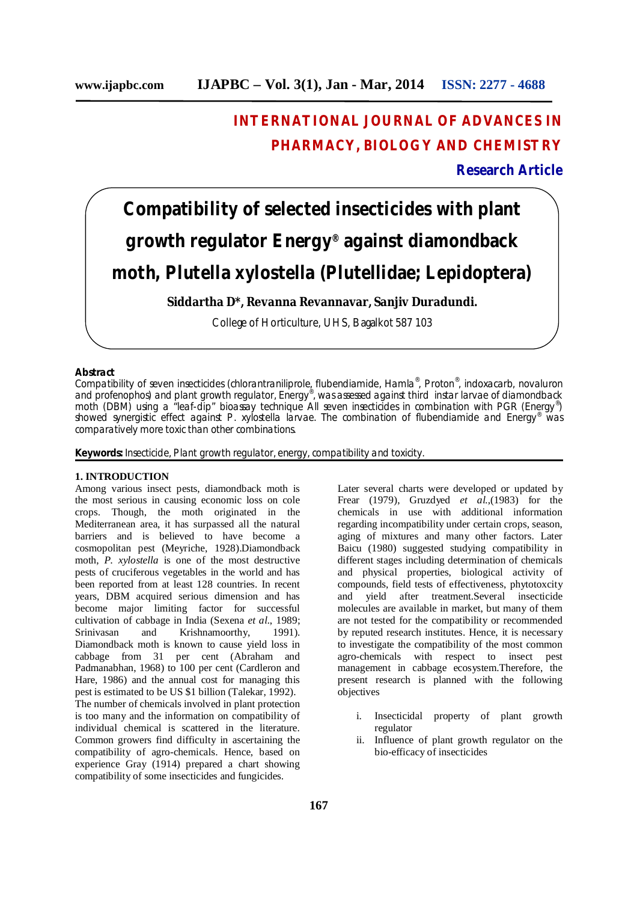# **INTERNATIONAL JOURNAL OF ADVANCES IN PHARMACY, BIOLOGY AND CHEMISTRY**

## **Research Article**

**Compatibility of selected insecticides with plant growth regulator Energy® against diamondback moth,** *Plutella xylostella* **(Plutellidae; Lepidoptera)**

**Siddartha D\*, Revanna Revannavar, Sanjiv Duradundi.**

College of Horticulture, UHS, Bagalkot 587 103

## **Abstract**

Compatibility of seven insecticides (chlorantraniliprole, flubendiamide, Hamla®, Proton®, indoxacarb, novaluron and profenophos) and plant growth regulator, Energy® , was assessed against third instar larvae of diamondback moth (DBM) using a "leaf-dip" bioassay technique All seven insecticides in combination with PGR (Energy®) showed synergistic effect against *P. xylostella* larvae. The combination of flubendiamide and Energy® was comparatively more toxic than other combinations.

**Keywords:** Insecticide, Plant growth regulator, energy, compatibility and toxicity.

## **1. INTRODUCTION**

Among various insect pests, diamondback moth is the most serious in causing economic loss on cole crops. Though, the moth originated in the Mediterranean area, it has surpassed all the natural barriers and is believed to have become a cosmopolitan pest (Meyriche, 1928).Diamondback moth, *P. xylostella* is one of the most destructive pests of cruciferous vegetables in the world and has been reported from at least 128 countries. In recent years, DBM acquired serious dimension and has become major limiting factor for successful cultivation of cabbage in India (Sexena *et al.*, 1989; Srinivasan and Krishnamoorthy, 1991). Diamondback moth is known to cause yield loss in cabbage from 31 per cent (Abraham and Padmanabhan, 1968) to 100 per cent (Cardleron and Hare, 1986) and the annual cost for managing this pest is estimated to be US \$1 billion (Talekar, 1992). The number of chemicals involved in plant protection is too many and the information on compatibility of individual chemical is scattered in the literature. Common growers find difficulty in ascertaining the compatibility of agro-chemicals. Hence, based on experience Gray (1914) prepared a chart showing compatibility of some insecticides and fungicides.

Later several charts were developed or updated by Frear (1979), Gruzdyed *et al.*,(1983) for the chemicals in use with additional information regarding incompatibility under certain crops, season, aging of mixtures and many other factors. Later Baicu (1980) suggested studying compatibility in different stages including determination of chemicals and physical properties, biological activity of compounds, field tests of effectiveness, phytotoxcity and yield after treatment.Several insecticide molecules are available in market, but many of them are not tested for the compatibility or recommended by reputed research institutes. Hence, it is necessary to investigate the compatibility of the most common agro-chemicals with respect to insect pest management in cabbage ecosystem.Therefore, the present research is planned with the following objectives

- i. Insecticidal property of plant growth regulator
- ii. Influence of plant growth regulator on the bio-efficacy of insecticides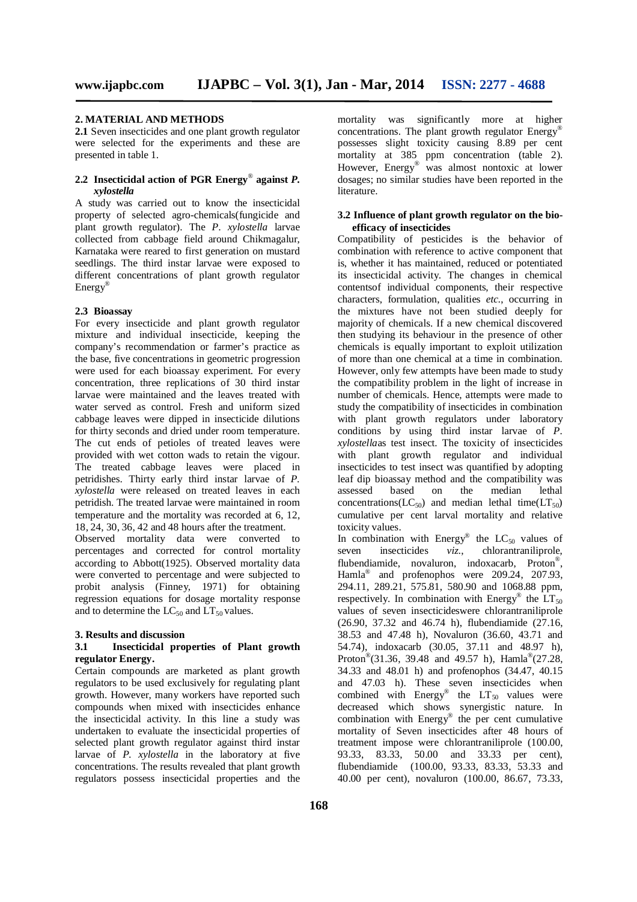## **2. MATERIAL AND METHODS**

**2.1** Seven insecticides and one plant growth regulator were selected for the experiments and these are presented in table 1.

## **2.2 Insecticidal action of PGR Energy**® **against** *P. xylostella*

A study was carried out to know the insecticidal property of selected agro-chemicals(fungicide and plant growth regulator). The *P. xylostella* larvae collected from cabbage field around Chikmagalur, Karnataka were reared to first generation on mustard seedlings. The third instar larvae were exposed to different concentrations of plant growth regulator Energy®

#### **2.3 Bioassay**

For every insecticide and plant growth regulator mixture and individual insecticide, keeping the company's recommendation or farmer's practice as the base, five concentrations in geometric progression were used for each bioassay experiment. For every concentration, three replications of 30 third instar larvae were maintained and the leaves treated with water served as control. Fresh and uniform sized cabbage leaves were dipped in insecticide dilutions for thirty seconds and dried under room temperature. The cut ends of petioles of treated leaves were provided with wet cotton wads to retain the vigour. The treated cabbage leaves were placed in petridishes. Thirty early third instar larvae of *P. xylostella* were released on treated leaves in each petridish. The treated larvae were maintained in room temperature and the mortality was recorded at 6, 12, 18, 24, 30, 36, 42 and 48 hours after the treatment.

Observed mortality data were converted to percentages and corrected for control mortality according to Abbott(1925). Observed mortality data were converted to percentage and were subjected to probit analysis (Finney, 1971) for obtaining regression equations for dosage mortality response and to determine the  $LC_{50}$  and  $LT_{50}$  values.

#### **3. Results and discussion**

## **3.1 Insecticidal properties of Plant growth regulator Energy.**

Certain compounds are marketed as plant growth regulators to be used exclusively for regulating plant growth. However, many workers have reported such compounds when mixed with insecticides enhance the insecticidal activity. In this line a study was undertaken to evaluate the insecticidal properties of selected plant growth regulator against third instar larvae of *P. xylostella* in the laboratory at five concentrations. The results revealed that plant growth regulators possess insecticidal properties and the

mortality was significantly more at higher concentrations. The plant growth regulator Energy® possesses slight toxicity causing 8.89 per cent mortality at 385 ppm concentration (table 2). However, Energy® was almost nontoxic at lower dosages; no similar studies have been reported in the literature.

#### **3.2 Influence of plant growth regulator on the bioefficacy of insecticides**

Compatibility of pesticides is the behavior of combination with reference to active component that is, whether it has maintained, reduced or potentiated its insecticidal activity. The changes in chemical contentsof individual components, their respective characters, formulation, qualities *etc.*, occurring in the mixtures have not been studied deeply for majority of chemicals. If a new chemical discovered then studying its behaviour in the presence of other chemicals is equally important to exploit utilization of more than one chemical at a time in combination. However, only few attempts have been made to study the compatibility problem in the light of increase in number of chemicals. Hence, attempts were made to study the compatibility of insecticides in combination with plant growth regulators under laboratory conditions by using third instar larvae of *P*. *xylostella*as test insect. The toxicity of insecticides with plant growth regulator and individual insecticides to test insect was quantified by adopting leaf dip bioassay method and the compatibility was assessed based on the median lethal concentrations(LC<sub>50</sub>) and median lethal time(LT<sub>50</sub>) cumulative per cent larval mortality and relative toxicity values.

In combination with Energy<sup>®</sup> the  $LC_{50}$  values of seven insecticides *viz.*, chlorantraniliprole, flubendiamide, novaluron, indoxacarb, Proton® , Hamla<sup>®</sup> and profenophos were 209.24, 207.93, 294.11, 289.21, 575.81, 580.90 and 1068.88 ppm, respectively. In combination with Energy® the  $LT_{50}$ values of seven insecticideswere chlorantraniliprole (26.90, 37.32 and 46.74 h), flubendiamide (27.16, 38.53 and 47.48 h), Novaluron (36.60, 43.71 and 54.74), indoxacarb (30.05, 37.11 and 48.97 h), Proton<sup>®</sup>(31.36, 39.48 and 49.57 h), Hamla<sup>®</sup>(27.28, 34.33 and 48.01 h) and profenophos (34.47, 40.15 and 47.03 h). These seven insecticides when combined with  $Energy^{\circ}$  the  $LT_{50}$  values were decreased which shows synergistic nature. In combination with Energy® the per cent cumulative mortality of Seven insecticides after 48 hours of treatment impose were chlorantraniliprole (100.00, 93.33, 83.33, 50.00 and 33.33 per cent), flubendiamide (100.00, 93.33, 83.33, 53.33 and 40.00 per cent), novaluron (100.00, 86.67, 73.33,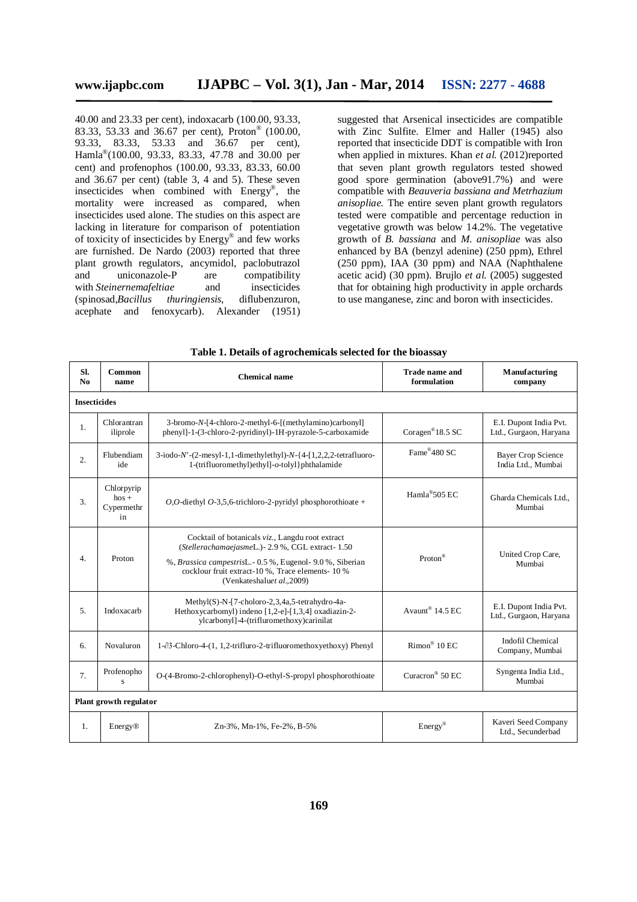40.00 and 23.33 per cent), indoxacarb (100.00, 93.33, 83.33, 53.33 and 36.67 per cent), Proton® (100.00, 93.33, 83.33, 53.33 and 36.67 per cent), Hamla® (100.00, 93.33, 83.33, 47.78 and 30.00 per cent) and profenophos (100.00, 93.33, 83.33, 60.00 and 36.67 per cent) (table 3, 4 and 5). These seven insecticides when combined with Energy® , the mortality were increased as compared, when insecticides used alone. The studies on this aspect are lacking in literature for comparison of potentiation of toxicity of insecticides by Energy® and few works are furnished. De Nardo (2003) reported that three plant growth regulators, ancymidol, paclobutrazol<br>and uniconazole-P are compatibility and uniconazole-P are compatibility with *Steinernemafeltiae* and insecticides (spinosad,*Bacillus thuringiensis*, diflubenzuron, acephate and fenoxycarb). Alexander (1951)

suggested that Arsenical insecticides are compatible with Zinc Sulfite. Elmer and Haller (1945) also reported that insecticide DDT is compatible with Iron when applied in mixtures. Khan *et al.* (2012)reported that seven plant growth regulators tested showed good spore germination (above91.7%) and were compatible with *Beauveria bassiana and Metrhazium anisopliae.* The entire seven plant growth regulators tested were compatible and percentage reduction in vegetative growth was below 14.2%. The vegetative growth of *B. bassiana* and *M. anisopliae* was also enhanced by BA (benzyl adenine) (250 ppm), Ethrel (250 ppm), IAA (30 ppm) and NAA (Naphthalene acetic acid) (30 ppm). Brujlo *et al.* (2005) suggested that for obtaining high productivity in apple orchards to use manganese, zinc and boron with insecticides.

| SI.<br>N <sub>0</sub> | Common<br>name                             | <b>Chemical name</b>                                                                                                                                                                                                                                                | <b>Trade name and</b><br>formulation | Manufacturing<br>company                         |  |  |  |  |  |  |  |
|-----------------------|--------------------------------------------|---------------------------------------------------------------------------------------------------------------------------------------------------------------------------------------------------------------------------------------------------------------------|--------------------------------------|--------------------------------------------------|--|--|--|--|--|--|--|
|                       | <b>Insecticides</b>                        |                                                                                                                                                                                                                                                                     |                                      |                                                  |  |  |  |  |  |  |  |
| $\mathbf{1}$ .        | Chlorantran<br>iliprole                    | 3-bromo-N-[4-chloro-2-methyl-6-[(methylamino)carbonyl]<br>phenyl]-1-(3-chloro-2-pyridinyl)-1H-pyrazole-5-carboxamide                                                                                                                                                | Coragen <sup>®</sup> 18.5 SC         | E.I. Dupont India Pvt.<br>Ltd., Gurgaon, Haryana |  |  |  |  |  |  |  |
| 2.                    | Flubendiam<br>ide                          | $3$ -iodo- $N$ - $(2$ -mesyl-1,1-dimethylethyl)- $N-$ {4- $[1,2,2,2$ -tetrafluoro-<br>1-(trifluoromethyl)ethyl]-o-tolyl}phthalamide                                                                                                                                 | Fame®480 SC                          | <b>Bayer Crop Science</b><br>India Ltd., Mumbai  |  |  |  |  |  |  |  |
| 3.                    | Chlorpyrip<br>$h$ os +<br>Cypermethr<br>in | O,O-diethyl O-3,5,6-trichloro-2-pyridyl phosphorothioate +                                                                                                                                                                                                          |                                      | Gharda Chemicals Ltd<br>Mumbai                   |  |  |  |  |  |  |  |
| $\overline{4}$ .      | Proton                                     | Cocktail of botanicals viz., Langdu root extract<br>(StellerachamaejasmeL.) - 2.9 %, CGL extract - 1.50<br>Proton®<br>%, Brassica campestrisL. - 0.5 %, Eugenol - 9.0 %, Siberian<br>cocklour fruit extract-10 %, Trace elements-10 %<br>(Venkateshaluet al., 2009) |                                      | United Crop Care,<br>Mumbai                      |  |  |  |  |  |  |  |
| 5 <sub>1</sub>        | Indoxacarb                                 | Methyl(S)-N-[7-choloro-2,3,4a,5-tetrahydro-4a-<br>Hethoxycarbomyl) indeno [1,2-e]-[1,3,4] oxadiazin-2-<br>ylcarbonyl]-4-(trifluromethoxy)carinilat                                                                                                                  | Avaunt <sup>®</sup> 14.5 EC          | E.I. Dupont India Pvt.<br>Ltd., Gurgaon, Haryana |  |  |  |  |  |  |  |
| 6.                    | Novaluron                                  | $1-\partial 3$ -Chloro-4-(1, 1,2-trifluro-2-trifluoromethoxyethoxy) Phenyl                                                                                                                                                                                          | $Rimon^@$ 10 EC                      | <b>Indofil Chemical</b><br>Company, Mumbai       |  |  |  |  |  |  |  |
| 7.                    | Profenopho<br>S                            | O-(4-Bromo-2-chlorophenyl)-O-ethyl-S-propyl phosphorothioate                                                                                                                                                                                                        | Curacron <sup>®</sup> 50 EC          | Syngenta India Ltd.,<br>Mumbai                   |  |  |  |  |  |  |  |
|                       | Plant growth regulator                     |                                                                                                                                                                                                                                                                     |                                      |                                                  |  |  |  |  |  |  |  |
| 1.                    | Energy®                                    | Zn-3%, Mn-1%, Fe-2%, B-5%                                                                                                                                                                                                                                           | $Energy^{\circledR}$                 | Kaveri Seed Company<br>Ltd., Secunderbad         |  |  |  |  |  |  |  |

**Table 1. Details of agrochemicals selected for the bioassay**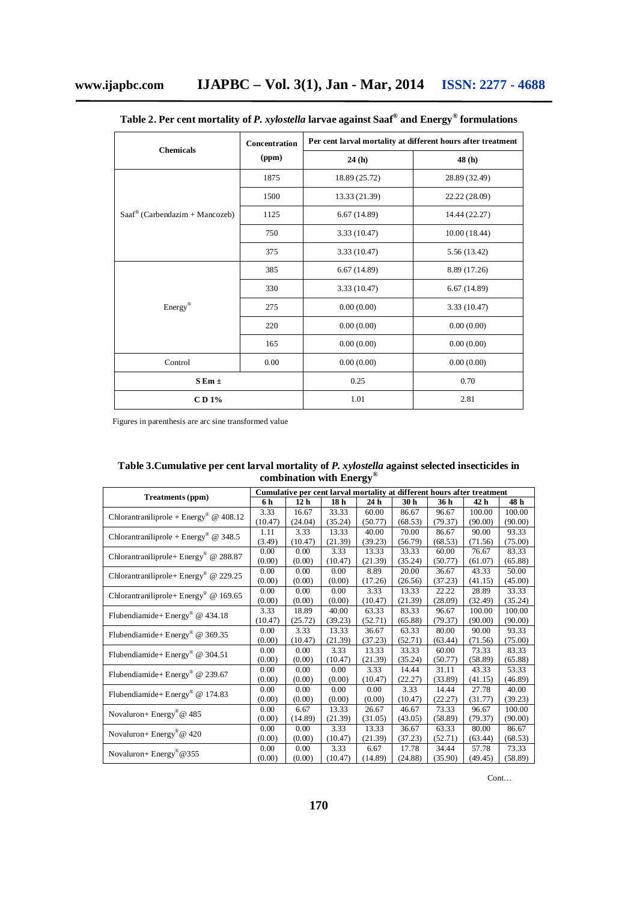| <b>Chemicals</b>                         | Concentration | Per cent larval mortality at different hours after treatment |               |  |  |
|------------------------------------------|---------------|--------------------------------------------------------------|---------------|--|--|
|                                          | (ppm)         | 24(h)                                                        | 48 (h)        |  |  |
|                                          | 1875          | 18.89 (25.72)                                                | 28.89 (32.49) |  |  |
|                                          | 1500          | 13.33 (21.39)                                                | 22.22 (28.09) |  |  |
| $Saaf^{\omega}$ (Carbendazim + Mancozeb) | 1125          | 6.67(14.89)                                                  | 14.44 (22.27) |  |  |
|                                          | 750           | 3.33(10.47)                                                  | 10.00(18.44)  |  |  |
|                                          | 375           | 3.33(10.47)                                                  | 5.56 (13.42)  |  |  |
|                                          | 385           | 6.67(14.89)                                                  | 8.89 (17.26)  |  |  |
|                                          | 330           | 3.33 (10.47)                                                 | 6.67(14.89)   |  |  |
| Energy®                                  | 275           | 0.00(0.00)                                                   | 3.33(10.47)   |  |  |
|                                          | 220           | 0.00(0.00)                                                   | 0.00(0.00)    |  |  |
|                                          | 165           | 0.00(0.00)                                                   | 0.00(0.00)    |  |  |
| Control                                  | 0.00          | 0.00(0.00)                                                   | 0.00(0.00)    |  |  |
| $S Em \pm$                               |               | 0.25                                                         | 0.70          |  |  |
| CD 1%                                    |               | 1.01                                                         | 2.81          |  |  |

| Table 2. Per cent mortality of <i>P. xylostella</i> larvae against Saaf $^\circ$ and Energy $^\circ$ formulations |  |  |  |  |
|-------------------------------------------------------------------------------------------------------------------|--|--|--|--|
|-------------------------------------------------------------------------------------------------------------------|--|--|--|--|

Figures in parenthesis are arc sine transformed value

| COMOMATION WITH ENCLEY                            |                                                                         |                 |                 |         |                 |         |         |         |
|---------------------------------------------------|-------------------------------------------------------------------------|-----------------|-----------------|---------|-----------------|---------|---------|---------|
|                                                   | Cumulative per cent larval mortality at different hours after treatment |                 |                 |         |                 |         |         |         |
| Treatments (ppm)                                  | 6 h                                                                     | 12 <sub>h</sub> | 18 <sub>h</sub> | 24 h    | 30 <sub>h</sub> | 36 h    | 42 h    | 48 h    |
| Chlorantraniliprole + $Energy^{\circ}$ @ 408.12   | 3.33                                                                    | 16.67           | 33.33           | 60.00   | 86.67           | 96.67   | 100.00  | 100.00  |
|                                                   | (10.47)                                                                 | (24.04)         | (35.24)         | (50.77) | (68.53)         | (79.37) | (90.00) | (90.00) |
|                                                   | 1.11                                                                    | 3.33            | 13.33           | 40.00   | 70.00           | 86.67   | 90.00   | 93.33   |
| Chlorantraniliprole + Energy <sup>®</sup> @ 348.5 | (3.49)                                                                  | (10.47)         | (21.39)         | (39.23) | (56.79)         | (68.53) | (71.56) | (75.00) |
| Chlorantraniliprole+ Energy® @ 288.87             | 0.00                                                                    | 0.00            | 3.33            | 13.33   | 33.33           | 60.00   | 76.67   | 83.33   |
|                                                   | (0.00)                                                                  | (0.00)          | (10.47)         | (21.39) | (35.24)         | (50.77) | (61.07) | (65.88) |
| Chlorantraniliprole+ Energy <sup>®</sup> @ 229.25 | 0.00                                                                    | 0.00            | 0.00            | 8.89    | 20.00           | 36.67   | 43.33   | 50.00   |
|                                                   | (0.00)                                                                  | (0.00)          | (0.00)          | (17.26) | (26.56)         | (37.23) | (41.15) | (45.00) |
|                                                   | 0.00                                                                    | 0.00            | 0.00            | 3.33    | 13.33           | 22.22   | 28.89   | 33.33   |
| Chlorantraniliprole+ Energy <sup>®</sup> @ 169.65 | (0.00)                                                                  | (0.00)          | (0.00)          | (10.47) | (21.39)         | (28.09) | (32.49) | (35.24) |
| Flubendiamide+ Energy <sup>®</sup> @ 434.18       | 3.33                                                                    | 18.89           | 40.00           | 63.33   | 83.33           | 96.67   | 100.00  | 100.00  |
|                                                   | (10.47)                                                                 | (25.72)         | (39.23)         | (52.71) | (65.88)         | (79.37) | (90.00) | (90.00) |
| Flubendiamide+ Energy <sup>®</sup> @ 369.35       | 0.00                                                                    | 3.33            | 13.33           | 36.67   | 63.33           | 80.00   | 90.00   | 93.33   |
|                                                   | (0.00)                                                                  | (10.47)         | (21.39)         | (37.23) | (52.71)         | (63.44) | (71.56) | (75.00) |
| Flubendiamide+Energy <sup>®</sup> @ 304.51        | 0.00                                                                    | 0.00            | 3.33            | 13.33   | 33.33           | 60.00   | 73.33   | 83.33   |
|                                                   | (0.00)                                                                  | (0.00)          | (10.47)         | (21.39) | (35.24)         | (50.77) | (58.89) | (65.88) |
| Flubendiamide+Energy® @ 239.67                    | 0.00                                                                    | 0.00            | 0.00            | 3.33    | 14.44           | 31.11   | 43.33   | 53.33   |
|                                                   | (0.00)                                                                  | (0.00)          | (0.00)          | (10.47) | (22.27)         | (33.89) | (41.15) | (46.89) |
| Flubendiamide+ Energy <sup>®</sup> @ 174.83       | 0.00                                                                    | 0.00            | 0.00            | 0.00    | 3.33            | 14.44   | 27.78   | 40.00   |
|                                                   | (0.00)                                                                  | (0.00)          | (0.00)          | (0.00)  | (10.47)         | (22.27) | (31.77) | (39.23) |
| Novaluron+ Energy <sup>®</sup> @ 485              | 0.00                                                                    | 6.67            | 13.33           | 26.67   | 46.67           | 73.33   | 96.67   | 100.00  |
|                                                   | (0.00)                                                                  | (14.89)         | (21.39)         | (31.05) | (43.05)         | (58.89) | (79.37) | (90.00) |
| Novaluron+ Energy <sup>®</sup> @ 420              | 0.00                                                                    | 0.00            | 3.33            | 13.33   | 36.67           | 63.33   | 80.00   | 86.67   |
|                                                   | (0.00)                                                                  | (0.00)          | (10.47)         | (21.39) | (37.23)         | (52.71) | (63.44) | (68.53) |
| Novaluron+ Energy®@355                            | 0.00                                                                    | 0.00            | 3.33            | 6.67    | 17.78           | 34.44   | 57.78   | 73.33   |
|                                                   | (0.00)                                                                  | (0.00)          | (10.47)         | (14.89) | (24.88)         | (35.90) | (49.45) | (58.89) |

| Table 3. Cumulative per cent larval mortality of P. xylostella against selected insecticides in |                                    |  |
|-------------------------------------------------------------------------------------------------|------------------------------------|--|
|                                                                                                 | combination with $Energy^{\omega}$ |  |

Cont…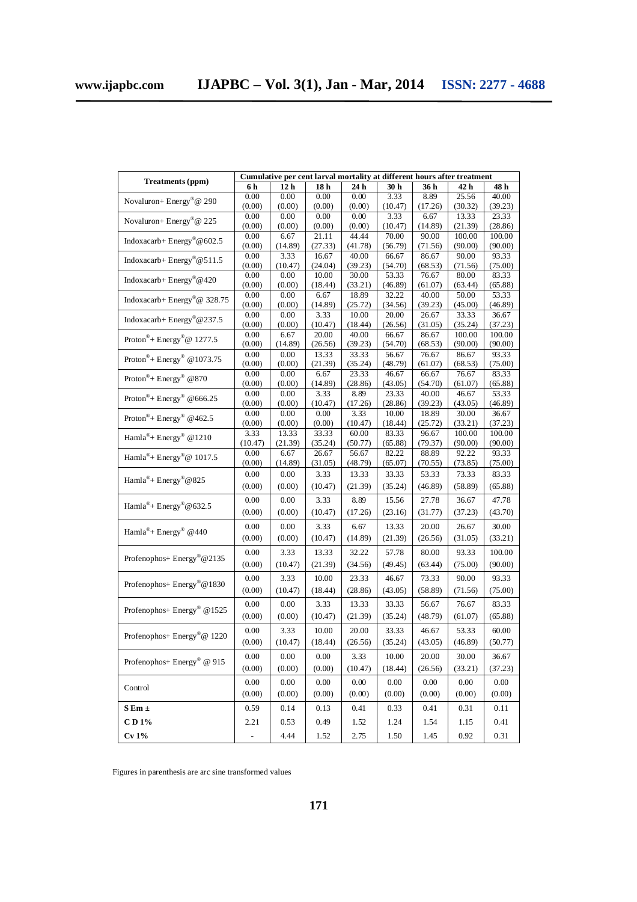| Treatments (ppm)                                   | Cumulative per cent larval mortality at different hours after treatment |                 |                  |                  |                  |                  |                  |                  |
|----------------------------------------------------|-------------------------------------------------------------------------|-----------------|------------------|------------------|------------------|------------------|------------------|------------------|
|                                                    | 6 h                                                                     | 12 <sub>h</sub> | 18 h             | 24 h             | 30 h             | 36 h             | 42 h             | 48 h             |
| Novaluron+ Energy®@ 290                            | 0.00                                                                    | 0.00            | 0.00             | 0.00             | 3.33             | 8.89             | 25.56            | 40.00            |
|                                                    | (0.00)                                                                  | (0.00)          | (0.00)           | (0.00)           | (10.47)          | (17.26)          | (30.32)          | (39.23)          |
| Novaluron+ Energy <sup>®</sup> @ 225               | 0.00                                                                    | 0.00            | 0.00             | 0.00             | 3.33             | 6.67             | 13.33            | 23.33            |
|                                                    | (0.00)                                                                  | (0.00)          | (0.00)           | (0.00)           | (10.47)          | (14.89)          | (21.39)          | (28.86)          |
| Indoxacarb+Energy®@602.5                           | 0.00                                                                    | 6.67            | 21.11            | 44.44            | 70.00            | 90.00            | 100.00           | 100.00           |
|                                                    | (0.00)                                                                  | (14.89)         | (27.33)          | (41.78)          | (56.79)          | (71.56)          | (90.00)          | (90.00)          |
| Indoxacarb+Energy <sup>®</sup> @511.5              | 0.00                                                                    | 3.33<br>(10.47) | 16.67            | 40.00<br>(39.23) | 66.67            | 86.67            | 90.00            | 93.33            |
|                                                    | (0.00)<br>0.00                                                          | 0.00            | (24.04)<br>10.00 | 30.00            | (54.70)<br>53.33 | (68.53)<br>76.67 | (71.56)<br>80.00 | (75.00)<br>83.33 |
| Indoxacarb+ Energy <sup>®</sup> $@420$             | (0.00)                                                                  | (0.00)          | (18.44)          | (33.21)          | (46.89)          | (61.07)          | (63.44)          | (65.88)          |
|                                                    | 0.00                                                                    | 0.00            | 6.67             | 18.89            | 32.22            | 40.00            | 50.00            | 53.33            |
| Indoxacarb+ Energy®@ 328.75                        | (0.00)                                                                  | (0.00)          | (14.89)          | (25.72)          | (34.56)          | (39.23)          | (45.00)          | (46.89)          |
|                                                    | 0.00                                                                    | 0.00            | 3.33             | 10.00            | 20.00            | 26.67            | 33.33            | 36.67            |
| Indoxacarb+ $Energy^{\circledR} @ 237.5$           | (0.00)                                                                  | (0.00)          | (10.47)          | (18.44)          | (26.56)          | (31.05)          | (35.24)          | (37.23)          |
| Proton <sup>®</sup> + Energy <sup>®</sup> @ 1277.5 | 0.00                                                                    | 6.67            | 20.00            | 40.00            | 66.67            | 86.67            | 100.00           | 100.00           |
|                                                    | (0.00)                                                                  | (14.89)         | (26.56)          | (39.23)          | (54.70)          | (68.53)          | (90.00)          | (90.00)          |
| Proton <sup>®</sup> + Energy <sup>®</sup> @1073.75 | 0.00                                                                    | 0.00            | 13.33            | 33.33            | 56.67            | 76.67            | 86.67            | 93.33            |
|                                                    | (0.00)                                                                  | (0.00)          | (21.39)          | (35.24)          | (48.79)          | (61.07)          | (68.53)          | (75.00)          |
| Proton® + Energy® @870                             | 0.00                                                                    | 0.00            | 6.67             | 23.33            | 46.67            | 66.67            | 76.67            | 83.33            |
|                                                    | (0.00)                                                                  | (0.00)          | (14.89)          | (28.86)          | (43.05)          | (54.70)          | (61.07)          | (65.88)          |
| Proton <sup>®</sup> + Energy <sup>®</sup> @666.25  | 0.00                                                                    | 0.00            | 3.33             | 8.89             | 23.33            | 40.00            | 46.67            | 53.33            |
|                                                    | (0.00)                                                                  | (0.00)          | (10.47)          | (17.26)          | (28.86)          | (39.23)          | (43.05)          | (46.89)          |
| Proton®+ Energy® @462.5                            | 0.00                                                                    | 0.00            | 0.00             | 3.33             | 10.00            | 18.89            | 30.00            | 36.67            |
|                                                    | (0.00)                                                                  | (0.00)          | (0.00)           | (10.47)          | (18.44)          | (25.72)          | (33.21)          | (37.23)          |
| Hamla <sup>®</sup> + Energy <sup>®</sup> @1210     | 3.33                                                                    | 13.33           | 33.33            | 60.00<br>(50.77) | 83.33<br>(65.88) | 96.67            | 100.00           | 100.00           |
|                                                    | (10.47)<br>0.00                                                         | (21.39)<br>6.67 | (35.24)<br>26.67 | 56.67            | 82.22            | (79.37)<br>88.89 | (90.00)<br>92.22 | (90.00)<br>93.33 |
| Hamla <sup>®</sup> + Energy <sup>®</sup> @ 1017.5  | (0.00)                                                                  | (14.89)         | (31.05)          | (48.79)          | (65.07)          | (70.55)          | (73.85)          | (75.00)          |
|                                                    | 0.00                                                                    | $0.00\,$        | 3.33             | 13.33            | 33.33            | 53.33            | 73.33            | 83.33            |
| Hamla <sup>®</sup> + Energy <sup>®</sup> @ 825     |                                                                         |                 |                  |                  |                  |                  |                  |                  |
|                                                    | (0.00)                                                                  | (0.00)          | (10.47)          | (21.39)          | (35.24)          | (46.89)          | (58.89)          | (65.88)          |
| Hamla <sup>®</sup> + Energy <sup>®</sup> @ 632.5   | 0.00                                                                    | 0.00            | 3.33             | 8.89             | 15.56            | 27.78            | 36.67            | 47.78            |
|                                                    | (0.00)                                                                  | (0.00)          | (10.47)          | (17.26)          | (23.16)          | (31.77)          | (37.23)          | (43.70)          |
|                                                    | 0.00                                                                    | 0.00            | 3.33             | 6.67             | 13.33            | 20.00            | 26.67            | 30.00            |
| Hamla <sup>®</sup> + Energy® @440                  | (0.00)                                                                  | (0.00)          | (10.47)          | (14.89)          | (21.39)          | (26.56)          | (31.05)          | (33.21)          |
|                                                    |                                                                         |                 |                  |                  |                  |                  |                  |                  |
| Profenophos+ Energy®@2135                          | 0.00                                                                    | 3.33            | 13.33            | 32.22            | 57.78            | 80.00            | 93.33            | 100.00           |
|                                                    | (0.00)                                                                  | (10.47)         | (21.39)          | (34.56)          | (49.45)          | (63.44)          | (75.00)          | (90.00)          |
|                                                    | 0.00                                                                    | 3.33            | 10.00            | 23.33            | 46.67            | 73.33            | 90.00            | 93.33            |
| Profenophos+ Energy®@1830                          | (0.00)                                                                  | (10.47)         | (18.44)          | (28.86)          | (43.05)          | (58.89)          | (71.56)          | (75.00)          |
|                                                    |                                                                         |                 |                  |                  |                  |                  |                  |                  |
| Profenophos+ Energy <sup>®</sup> @1525             | 0.00                                                                    | 0.00            | 3.33             | 13.33            | 33.33            | 56.67            | 76.67            | 83.33            |
|                                                    | (0.00)                                                                  | (0.00)          | (10.47)          | (21.39)          | (35.24)          | (48.79)          | (61.07)          | (65.88)          |
|                                                    | 0.00                                                                    | 3.33            | 10.00            | 20.00            | 33.33            | 46.67            | 53.33            | 60.00            |
| Profenophos+ Energy®@ 1220                         | (0.00)                                                                  | (10.47)         | (18.44)          | (26.56)          | (35.24)          | (43.05)          | (46.89)          | (50.77)          |
|                                                    |                                                                         |                 |                  |                  |                  |                  |                  |                  |
| Profenophos+ Energy <sup>®</sup> @ 915             | 0.00                                                                    | $0.00\,$        | $0.00\,$         | 3.33             | 10.00            | 20.00            | 30.00            | 36.67            |
|                                                    | (0.00)                                                                  | (0.00)          | (0.00)           | (10.47)          | (18.44)          | (26.56)          | (33.21)          | (37.23)          |
|                                                    | 0.00                                                                    | 0.00            | $0.00\,$         | $0.00\,$         | 0.00             | $0.00\,$         | 0.00             | 0.00             |
| Control                                            | (0.00)                                                                  | (0.00)          | (0.00)           | (0.00)           | (0.00)           | (0.00)           | (0.00)           | (0.00)           |
|                                                    |                                                                         |                 |                  |                  |                  |                  |                  |                  |
| $S Em \pm$                                         | 0.59                                                                    | 0.14            | 0.13             | 0.41             | 0.33             | 0.41             | 0.31             | 0.11             |
| CD1%                                               | 2.21                                                                    | 0.53            | 0.49             | 1.52             | 1.24             | 1.54             | 1.15             | 0.41             |
| Cv1%                                               | $\overline{\phantom{a}}$                                                | 4.44            | 1.52             | 2.75             | 1.50             | 1.45             | 0.92             | 0.31             |

Figures in parenthesis are arc sine transformed values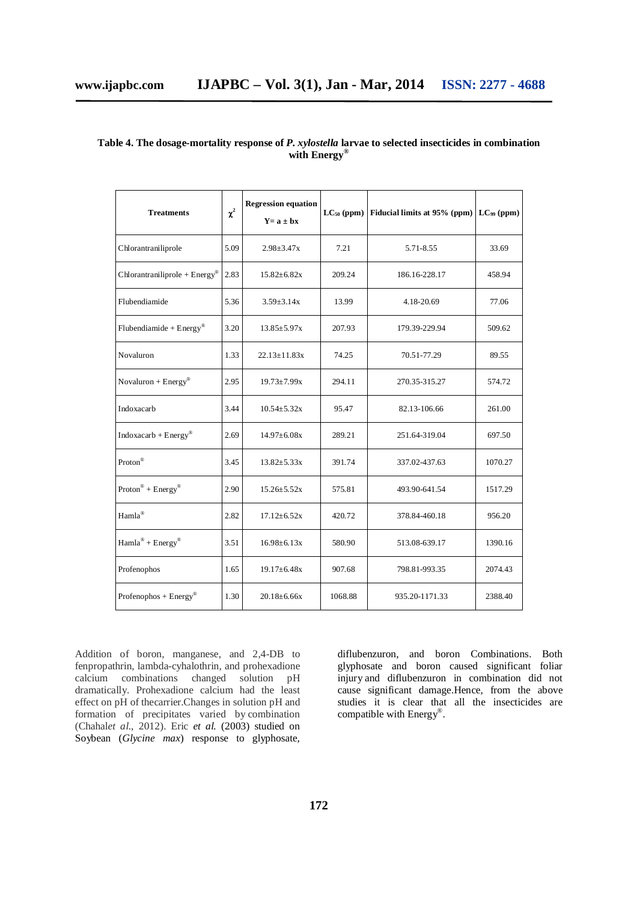| <b>Treatments</b>                        | $\chi^2$ | <b>Regression equation</b><br>$Y = a \pm bx$ | $LC_{50}$ (ppm) | Fiducial limits at 95% (ppm) LC <sub>99</sub> (ppm) |         |
|------------------------------------------|----------|----------------------------------------------|-----------------|-----------------------------------------------------|---------|
| Chlorantraniliprole                      | 5.09     | $2.98 \pm 3.47x$                             | 7.21            | 5.71-8.55                                           | 33.69   |
| $Chlorantrainliprole + Energy®$          | 2.83     | $15.82 \pm 6.82x$                            | 209.24          | 186.16-228.17                                       | 458.94  |
| Flubendiamide                            | 5.36     | $3.59 \pm 3.14x$                             | 13.99           | 4.18-20.69                                          | 77.06   |
| Flubendiamide + $Energy^{\circledast}$   | 3.20     | $13.85 \pm 5.97x$                            | 207.93          | 179.39-229.94                                       | 509.62  |
| Novaluron                                | 1.33     | $22.13 \pm 11.83x$                           | 74.25           | 70.51-77.29                                         | 89.55   |
| Novaluron + $Energy^{\circledR}$         | 2.95     | $19.73 \pm 7.99x$                            | 294.11          | 270.35-315.27                                       | 574.72  |
| Indoxacarb                               | 3.44     | $10.54 \pm 5.32x$                            | 95.47           | 82.13-106.66                                        | 261.00  |
| $Indoxacarb + Energy®$                   | 2.69     | $14.97 \pm 6.08x$                            | 289.21          | 251.64-319.04                                       | 697.50  |
| $\text{Proton}^{\circledR}$              | 3.45     | $13.82 \pm 5.33x$                            | 391.74          | 337.02-437.63                                       | 1070.27 |
| $Proton^@ + Energy^@$                    | 2.90     | $15.26 \pm 5.52x$                            | 575.81          | 493.90-641.54                                       | 1517.29 |
| Hamla <sup>®</sup>                       | 2.82     | $17.12 \pm 6.52x$                            | 420.72          | 378.84-460.18                                       | 956.20  |
| $Hamla^{\circledR} + Energy^{\circledR}$ | 3.51     | $16.98 \pm 6.13x$                            | 580.90          | 513.08-639.17                                       | 1390.16 |
| Profenophos                              | 1.65     | $19.17 \pm 6.48x$                            | 907.68          | 798.81-993.35                                       | 2074.43 |
| Profenophos + $Energy^{\circledR}$       |          | $20.18 \pm 6.66x$                            | 1068.88         | 935.20-1171.33                                      | 2388.40 |

## **Table 4. The dosage-mortality response of** *P. xylostella* **larvae to selected insecticides in combination with Energy®**

Addition of boron, manganese, and 2,4-DB to fenpropathrin, lambda-cyhalothrin, and prohexadione calcium combinations changed solution pH dramatically. Prohexadione calcium had the least effect on pH of thecarrier.Changes in solution pH and formation of precipitates varied by combination (Chahal*et al*., 2012). Eric *et al.* (2003) studied on Soybean (*Glycine max*) response to glyphosate,

diflubenzuron, and boron Combinations. Both glyphosate and boron caused significant foliar injury and diflubenzuron in combination did not cause significant damage.Hence, from the above studies it is clear that all the insecticides are compatible with Energy<sup>®</sup>.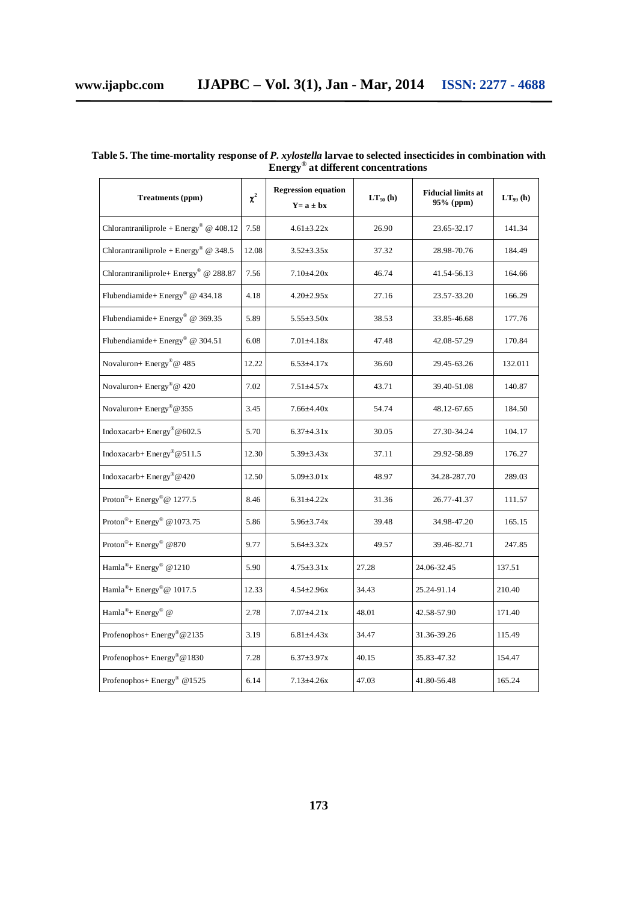| Treatments (ppm)                                   | $\chi^2$ | <b>Regression equation</b><br>$Y = a \pm bx$ | $LT_{50}$ (h) | <b>Fiducial limits at</b><br>95% (ppm) | $LT_{99}$ (h) |
|----------------------------------------------------|----------|----------------------------------------------|---------------|----------------------------------------|---------------|
| Chlorantraniliprole + Energy® @ $408.12$           | 7.58     | $4.61 \pm 3.22x$                             | 26.90         | 23.65-32.17                            | 141.34        |
| Chlorantraniliprole + Energy <sup>®</sup> @ 348.5  | 12.08    | $3.52 \pm 3.35x$                             | 37.32         | 28.98-70.76                            | 184.49        |
| Chlorantraniliprole+ Energy® @ 288.87              | 7.56     | $7.10{\pm}4.20x$                             | 46.74         | 41.54-56.13                            | 164.66        |
| Flubendiamide+Energy® @ 434.18                     | 4.18     | $4.20 \pm 2.95x$                             | 27.16         | 23.57-33.20                            | 166.29        |
| Flubendiamide+Energy <sup>®</sup> @ 369.35         | 5.89     | $5.55 \pm 3.50x$                             | 38.53         | 33.85-46.68                            | 177.76        |
| Flubendiamide+Energy <sup>®</sup> @ 304.51         | 6.08     | $7.01 \pm 4.18x$                             | 47.48         | 42.08-57.29                            | 170.84        |
| Novaluron+ Energy®@ 485                            | 12.22    | $6.53 \pm 4.17x$                             | 36.60         | 29.45-63.26                            | 132.011       |
| Novaluron+ Energy®@ 420                            | 7.02     | $7.51 \pm 4.57x$                             | 43.71         | 39.40-51.08                            | 140.87        |
| Novaluron+ Energy®@355                             | 3.45     | $7.66{\pm}4.40x$                             | 54.74         | 48.12-67.65                            | 184.50        |
| Indoxacarb+Energy®@602.5                           | 5.70     | $6.37 \pm 4.31x$                             | 30.05         | 27.30-34.24                            | 104.17        |
| Indoxacarb+Energy®@511.5                           | 12.30    | $5.39 \pm 3.43x$                             | 37.11         | 29.92-58.89                            | 176.27        |
| Indoxacarb+Energy®@420                             | 12.50    | $5.09 \pm 3.01x$                             | 48.97         | 34.28-287.70                           | 289.03        |
| Proton <sup>®</sup> + Energy <sup>®</sup> @ 1277.5 | 8.46     | $6.31 \pm 4.22x$                             | 31.36         | 26.77-41.37                            | 111.57        |
| Proton®+ Energy® @ 1073.75                         | 5.86     | $5.96 \pm 3.74x$                             | 39.48         | 34.98-47.20                            | 165.15        |
| Proton <sup>®</sup> + Energy <sup>®</sup> @870     | 9.77     | $5.64 \pm 3.32x$                             | 49.57         | 39.46-82.71                            | 247.85        |
| Hamla <sup>®</sup> + Energy <sup>®</sup> @ 1210    | 5.90     | $4.75 \pm 3.31x$                             | 27.28         | 24.06-32.45                            | 137.51        |
| Hamla <sup>®</sup> + Energy <sup>®</sup> @ 1017.5  | 12.33    | $4.54 \pm 2.96x$                             | 34.43         | 25.24-91.14                            | 210.40        |
| Hamla <sup>®</sup> + Energy <sup>®</sup> @         | 2.78     | $7.07 \pm 4.21x$                             | 48.01         | 42.58-57.90                            | 171.40        |
| Profenophos+ Energy®@2135                          | 3.19     | $6.81 \pm 4.43x$                             | 34.47         | 31.36-39.26                            | 115.49        |
| Profenophos+ Energy®@1830                          | 7.28     | $6.37 \pm 3.97x$                             | 40.15         | 35.83-47.32                            | 154.47        |
| Profenophos+ Energy® @1525                         | 6.14     | $7.13 \pm 4.26x$                             | 47.03         | 41.80-56.48                            | 165.24        |

**Table 5. The time-mortality response of** *P. xylostella* **larvae to selected insecticides in combination with Energy® at different concentrations**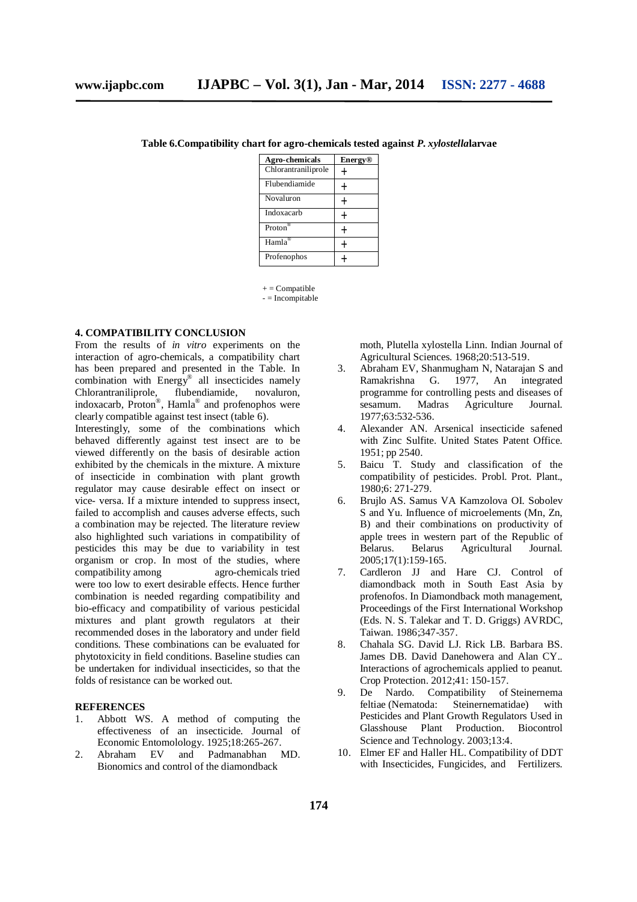| Agro-chemicals      | <b>Energy</b> <sup>®</sup> |
|---------------------|----------------------------|
| Chlorantraniliprole |                            |
| Flubendiamide       |                            |
| Novaluron           |                            |
| Indoxacarb          |                            |
| Proton®             |                            |
| $Hama^@$            |                            |
| Profenophos         |                            |

**Table 6.Compatibility chart for agro-chemicals tested against** *P. xylostella***larvae**

 $+ =$  Compatible

 $-$  = Incompitable

#### **4. COMPATIBILITY CONCLUSION**

From the results of *in vitro* experiments on the interaction of agro-chemicals, a compatibility chart has been prepared and presented in the Table. In combination with Energy® all insecticides namely Chlorantraniliprole, flubendiamide, novaluron, indoxacarb, Proton®, Hamla® and profenophos were clearly compatible against test insect (table 6).

Interestingly, some of the combinations which behaved differently against test insect are to be viewed differently on the basis of desirable action exhibited by the chemicals in the mixture. A mixture of insecticide in combination with plant growth regulator may cause desirable effect on insect or vice- versa. If a mixture intended to suppress insect, failed to accomplish and causes adverse effects, such a combination may be rejected. The literature review also highlighted such variations in compatibility of pesticides this may be due to variability in test organism or crop. In most of the studies, where<br>compatibility among agro-chemicals tried agro-chemicals tried were too low to exert desirable effects. Hence further combination is needed regarding compatibility and bio-efficacy and compatibility of various pesticidal mixtures and plant growth regulators at their recommended doses in the laboratory and under field conditions. These combinations can be evaluated for phytotoxicity in field conditions. Baseline studies can be undertaken for individual insecticides, so that the folds of resistance can be worked out.

#### **REFERENCES**

- 1. Abbott WS. A method of computing the effectiveness of an insecticide. Journal of Economic Entomolology. 1925;18:265-267.<br>Abraham EV and Padmanabhan I
- 2. Abraham EV and Padmanabhan MD. Bionomics and control of the diamondback

moth, Plutella xylostella Linn. Indian Journal of Agricultural Sciences. 1968;20:513-519.

- 3. Abraham EV, Shanmugham N, Natarajan S and Ramakrishna G. 1977, An integrated programme for controlling pests and diseases of sesamum. Madras Agriculture Journal. 1977;63:532-536.
- 4. Alexander AN. Arsenical insecticide safened with Zinc Sulfite. United States Patent Office. 1951; pp 2540.
- 5. Baicu T. Study and classification of the compatibility of pesticides. Probl. Prot. Plant., 1980;6: 271-279.
- 6. Brujlo AS. Samus VA Kamzolova OI. Sobolev S and Yu. Influence of microelements (Mn, Zn, B) and their combinations on productivity of apple trees in western part of the Republic of<br>Belarus. Belarus Agricultural Journal. Agricultural 2005;17(1):159-165.
- 7. Cardleron JJ and Hare CJ. Control of diamondback moth in South East Asia by profenofos. In Diamondback moth management, Proceedings of the First International Workshop (Eds. N. S. Talekar and T. D. Griggs) AVRDC, Taiwan. 1986;347-357.
- 8. Chahala SG. David LJ. Rick LB. Barbara BS. James DB. David Danehowera and Alan CY.. Interactions of agrochemicals applied to peanut. Crop Protection. 2012;41: 150-157.
- 9. De Nardo. Compatibility of Steinernema feltiae (Nematoda: Steinernematidae) with Pesticides and Plant Growth Regulators Used in Glasshouse Plant Production. Biocontrol Science and Technology. 2003;13:4.
- 10. Elmer EF and Haller HL. Compatibility of DDT with Insecticides, Fungicides, and Fertilizers.